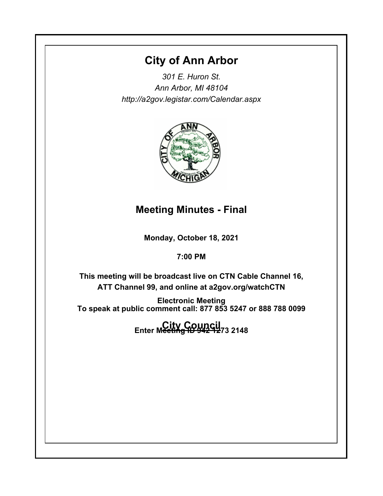# **City of Ann Arbor**

*301 E. Huron St. Ann Arbor, MI 48104 http://a2gov.legistar.com/Calendar.aspx*



# **Meeting Minutes - Final**

**Monday, October 18, 2021**

**7:00 PM**

**This meeting will be broadcast live on CTN Cable Channel 16, ATT Channel 99, and online at a2gov.org/watchCTN** 

**Electronic Meeting To speak at public comment call: 877 853 5247 or 888 788 0099** 

**City Council Enter Meeting ID 942 1273 2148**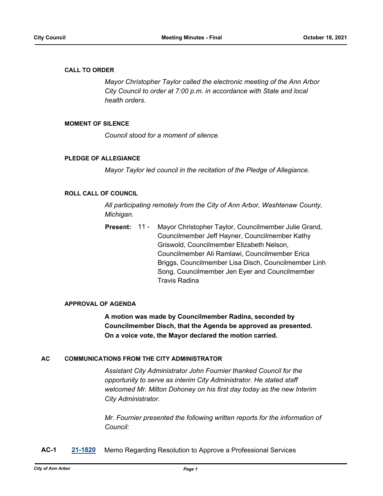#### **CALL TO ORDER**

*Mayor Christopher Taylor called the electronic meeting of the Ann Arbor City Council to order at 7:00 p.m. in accordance with State and local health orders.*

#### **MOMENT OF SILENCE**

*Council stood for a moment of silence.*

#### **PLEDGE OF ALLEGIANCE**

*Mayor Taylor led council in the recitation of the Pledge of Allegiance.*

#### **ROLL CALL OF COUNCIL**

*All participating remotely from the City of Ann Arbor, Washtenaw County, Michigan.*

Mayor Christopher Taylor, Councilmember Julie Grand, Councilmember Jeff Hayner, Councilmember Kathy Griswold, Councilmember Elizabeth Nelson, Councilmember Ali Ramlawi, Councilmember Erica Briggs, Councilmember Lisa Disch, Councilmember Linh Song, Councilmember Jen Eyer and Councilmember Travis Radina **Present:** 11 -

#### **APPROVAL OF AGENDA**

**A motion was made by Councilmember Radina, seconded by Councilmember Disch, that the Agenda be approved as presented. On a voice vote, the Mayor declared the motion carried.**

#### **AC COMMUNICATIONS FROM THE CITY ADMINISTRATOR**

*Assistant City Administrator John Fournier thanked Council for the opportunity to serve as interim City Administrator. He stated staff welcomed Mr. Milton Dohoney on his first day today as the new Interim City Administrator.* 

*Mr. Fournier presented the following written reports for the information of Council:*

**AC-1 [21-1820](http://a2gov.legistar.com/gateway.aspx?M=L&ID=28746)** Memo Regarding Resolution to Approve a Professional Services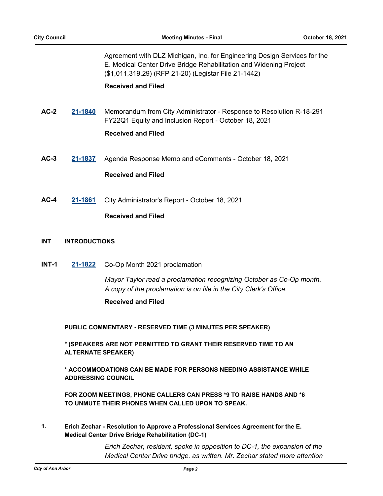Agreement with DLZ Michigan, Inc. for Engineering Design Services for the E. Medical Center Drive Bridge Rehabilitation and Widening Project (\$1,011,319.29) (RFP 21-20) (Legistar File 21-1442)

#### **Received and Filed**

- **AC-2 [21-1840](http://a2gov.legistar.com/gateway.aspx?M=L&ID=28766)** Memorandum from City Administrator Response to Resolution R-18-291 FY22Q1 Equity and Inclusion Report - October 18, 2021 **Received and Filed**
- **AC-3 [21-1837](http://a2gov.legistar.com/gateway.aspx?M=L&ID=28763)** Agenda Response Memo and eComments October 18, 2021

#### **Received and Filed**

**AC-4 [21-1861](http://a2gov.legistar.com/gateway.aspx?M=L&ID=28787)** City Administrator's Report - October 18, 2021

### **Received and Filed**

#### **INT INTRODUCTIONS**

**INT-1 [21-1822](http://a2gov.legistar.com/gateway.aspx?M=L&ID=28748)** Co-Op Month 2021 proclamation

*Mayor Taylor read a proclamation recognizing October as Co-Op month. A copy of the proclamation is on file in the City Clerk's Office.*

#### **Received and Filed**

**PUBLIC COMMENTARY - RESERVED TIME (3 MINUTES PER SPEAKER)**

**\* (SPEAKERS ARE NOT PERMITTED TO GRANT THEIR RESERVED TIME TO AN ALTERNATE SPEAKER)**

**\* ACCOMMODATIONS CAN BE MADE FOR PERSONS NEEDING ASSISTANCE WHILE ADDRESSING COUNCIL**

**FOR ZOOM MEETINGS, PHONE CALLERS CAN PRESS \*9 TO RAISE HANDS AND \*6 TO UNMUTE THEIR PHONES WHEN CALLED UPON TO SPEAK.**

**Erich Zechar - Resolution to Approve a Professional Services Agreement for the E. Medical Center Drive Bridge Rehabilitation (DC-1) 1.**

> *Erich Zechar, resident, spoke in opposition to DC-1, the expansion of the Medical Center Drive bridge, as written. Mr. Zechar stated more attention*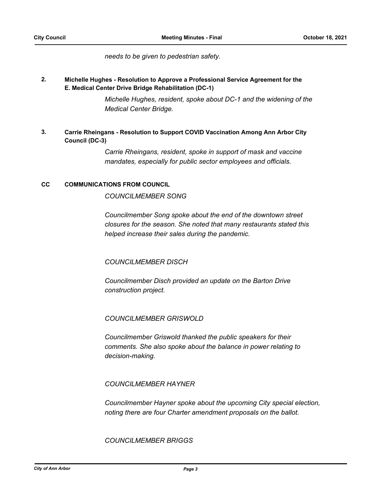#### *needs to be given to pedestrian safety.*

#### **Michelle Hughes - Resolution to Approve a Professional Service Agreement for the E. Medical Center Drive Bridge Rehabilitation (DC-1) 2.**

*Michelle Hughes, resident, spoke about DC-1 and the widening of the Medical Center Bridge.*

#### **Carrie Rheingans - Resolution to Support COVID Vaccination Among Ann Arbor City Council (DC-3) 3.**

*Carrie Rheingans, resident, spoke in support of mask and vaccine mandates, especially for public sector employees and officials.*

#### **CC COMMUNICATIONS FROM COUNCIL**

*COUNCILMEMBER SONG*

*Councilmember Song spoke about the end of the downtown street closures for the season. She noted that many restaurants stated this helped increase their sales during the pandemic.*

### *COUNCILMEMBER DISCH*

*Councilmember Disch provided an update on the Barton Drive construction project.*

### *COUNCILMEMBER GRISWOLD*

*Councilmember Griswold thanked the public speakers for their comments. She also spoke about the balance in power relating to decision-making.*

### *COUNCILMEMBER HAYNER*

*Councilmember Hayner spoke about the upcoming City special election, noting there are four Charter amendment proposals on the ballot.* 

*COUNCILMEMBER BRIGGS*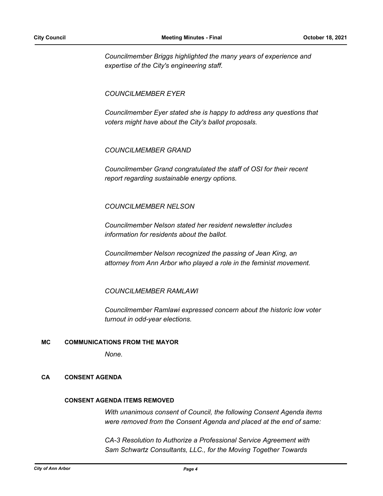*Councilmember Briggs highlighted the many years of experience and expertise of the City's engineering staff.*

*COUNCILMEMBER EYER*

*Councilmember Eyer stated she is happy to address any questions that voters might have about the City's ballot proposals.*

*COUNCILMEMBER GRAND*

*Councilmember Grand congratulated the staff of OSI for their recent report regarding sustainable energy options.*

#### *COUNCILMEMBER NELSON*

*Councilmember Nelson stated her resident newsletter includes information for residents about the ballot.* 

*Councilmember Nelson recognized the passing of Jean King, an attorney from Ann Arbor who played a role in the feminist movement.*

*COUNCILMEMBER RAMLAWI*

*Councilmember Ramlawi expressed concern about the historic low voter turnout in odd-year elections.*

#### **MC COMMUNICATIONS FROM THE MAYOR**

*None.*

#### **CA CONSENT AGENDA**

#### **CONSENT AGENDA ITEMS REMOVED**

*With unanimous consent of Council, the following Consent Agenda items were removed from the Consent Agenda and placed at the end of same:*

*CA-3 Resolution to Authorize a Professional Service Agreement with Sam Schwartz Consultants, LLC., for the Moving Together Towards*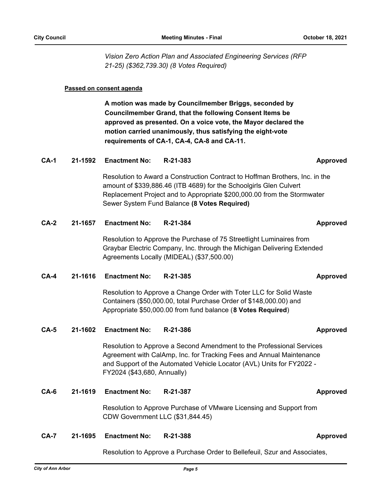*Vision Zero Action Plan and Associated Engineering Services (RFP 21-25) (\$362,739.30) (8 Votes Required)*

#### **Passed on consent agenda**

**A motion was made by Councilmember Briggs, seconded by Councilmember Grand, that the following Consent Items be approved as presented. On a voice vote, the Mayor declared the motion carried unanimously, thus satisfying the eight-vote requirements of CA-1, CA-4, CA-8 and CA-11.**

#### **CA-1 21-1592 Enactment No: R-21-383 Approved**

Resolution to Award a Construction Contract to Hoffman Brothers, Inc. in the amount of \$339,886.46 (ITB 4689) for the Schoolgirls Glen Culvert Replacement Project and to Appropriate \$200,000.00 from the Stormwater Sewer System Fund Balance **(8 Votes Required)**

#### **CA-2 21-1657 Enactment No: R-21-384 Approved**

Resolution to Approve the Purchase of 75 Streetlight Luminaires from Graybar Electric Company, Inc. through the Michigan Delivering Extended Agreements Locally (MIDEAL) (\$37,500.00)

#### **CA-4 21-1616 Enactment No: R-21-385 Approved**

Resolution to Approve a Change Order with Toter LLC for Solid Waste Containers (\$50,000.00, total Purchase Order of \$148,000.00) and Appropriate \$50,000.00 from fund balance (**8 Votes Required**)

#### **CA-5 21-1602 Enactment No: R-21-386 Approved**

Resolution to Approve a Second Amendment to the Professional Services Agreement with CalAmp, Inc. for Tracking Fees and Annual Maintenance and Support of the Automated Vehicle Locator (AVL) Units for FY2022 - FY2024 (\$43,680, Annually)

#### **CA-6 21-1619 Enactment No: R-21-387 Approved**

Resolution to Approve Purchase of VMware Licensing and Support from CDW Government LLC (\$31,844.45)

#### **CA-7 21-1695 Enactment No: R-21-388 Approved**

Resolution to Approve a Purchase Order to Bellefeuil, Szur and Associates,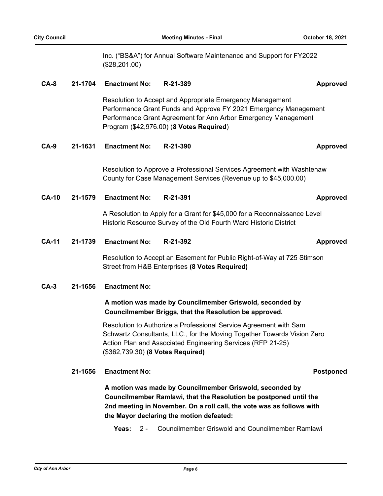Inc. ("BS&A") for Annual Software Maintenance and Support for FY2022 (\$28,201.00)

#### **CA-8 21-1704 Enactment No: R-21-389 Approved**

Resolution to Accept and Appropriate Emergency Management Performance Grant Funds and Approve FY 2021 Emergency Management Performance Grant Agreement for Ann Arbor Emergency Management Program (\$42,976.00) (**8 Votes Required**)

#### **CA-9 21-1631 Enactment No: R-21-390 Approved**

Resolution to Approve a Professional Services Agreement with Washtenaw County for Case Management Services (Revenue up to \$45,000.00)

**CA-10 21-1579 Enactment No: R-21-391 Approved**

A Resolution to Apply for a Grant for \$45,000 for a Reconnaissance Level Historic Resource Survey of the Old Fourth Ward Historic District

**CA-11 21-1739 Enactment No: R-21-392 Approved**

Resolution to Accept an Easement for Public Right-of-Way at 725 Stimson Street from H&B Enterprises **(8 Votes Required)**

#### **CA-3 21-1656 Enactment No:**

## **A motion was made by Councilmember Griswold, seconded by Councilmember Briggs, that the Resolution be approved.**

Resolution to Authorize a Professional Service Agreement with Sam Schwartz Consultants, LLC., for the Moving Together Towards Vision Zero Action Plan and Associated Engineering Services (RFP 21-25) (\$362,739.30) **(8 Votes Required)**

#### **21-1656 Enactment No: Postponed**

**A motion was made by Councilmember Griswold, seconded by Councilmember Ramlawi, that the Resolution be postponed until the 2nd meeting in November. On a roll call, the vote was as follows with the Mayor declaring the motion defeated:**

**Yeas:** 2 - Councilmember Griswold and Councilmember Ramlawi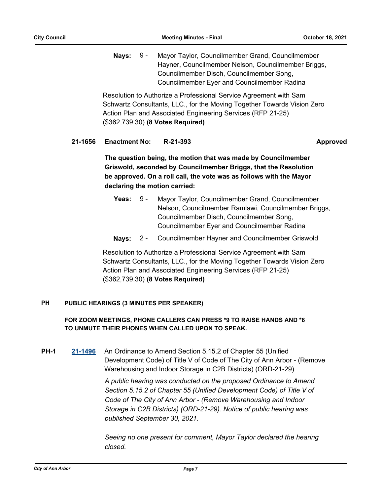Nays: 9 - Mayor Taylor, Councilmember Grand, Councilmember Hayner, Councilmember Nelson, Councilmember Briggs, Councilmember Disch, Councilmember Song, Councilmember Eyer and Councilmember Radina 9 -

Resolution to Authorize a Professional Service Agreement with Sam Schwartz Consultants, LLC., for the Moving Together Towards Vision Zero Action Plan and Associated Engineering Services (RFP 21-25) (\$362,739.30) **(8 Votes Required)**

### **21-1656 Enactment No: R-21-393 Approved**

**The question being, the motion that was made by Councilmember Griswold, seconded by Councilmember Briggs, that the Resolution be approved. On a roll call, the vote was as follows with the Mayor declaring the motion carried:**

- **Yeas:** Mayor Taylor, Councilmember Grand, Councilmember Nelson, Councilmember Ramlawi, Councilmember Briggs, Councilmember Disch, Councilmember Song, Councilmember Eyer and Councilmember Radina Yeas:  $9 -$
- **Nays:** 2 Councilmember Hayner and Councilmember Griswold

Resolution to Authorize a Professional Service Agreement with Sam Schwartz Consultants, LLC., for the Moving Together Towards Vision Zero Action Plan and Associated Engineering Services (RFP 21-25) (\$362,739.30) **(8 Votes Required)**

#### **PUBLIC HEARINGS (3 MINUTES PER SPEAKER) PH**

## **FOR ZOOM MEETINGS, PHONE CALLERS CAN PRESS \*9 TO RAISE HANDS AND \*6 TO UNMUTE THEIR PHONES WHEN CALLED UPON TO SPEAK.**

**PH-1 [21-1496](http://a2gov.legistar.com/gateway.aspx?M=L&ID=28422)** An Ordinance to Amend Section 5.15.2 of Chapter 55 (Unified Development Code) of Title V of Code of The City of Ann Arbor - (Remove Warehousing and Indoor Storage in C2B Districts) (ORD-21-29)

> *A public hearing was conducted on the proposed Ordinance to Amend Section 5.15.2 of Chapter 55 (Unified Development Code) of Title V of Code of The City of Ann Arbor - (Remove Warehousing and Indoor Storage in C2B Districts) (ORD-21-29). Notice of public hearing was published September 30, 2021.*

*Seeing no one present for comment, Mayor Taylor declared the hearing closed.*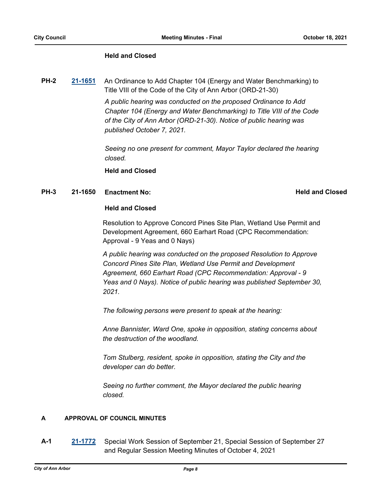#### **Held and Closed**

**PH-2 [21-1651](http://a2gov.legistar.com/gateway.aspx?M=L&ID=28577)** An Ordinance to Add Chapter 104 (Energy and Water Benchmarking) to Title VIII of the Code of the City of Ann Arbor (ORD-21-30)

> *A public hearing was conducted on the proposed Ordinance to Add Chapter 104 (Energy and Water Benchmarking) to Title VIII of the Code of the City of Ann Arbor (ORD-21-30). Notice of public hearing was published October 7, 2021.*

> *Seeing no one present for comment, Mayor Taylor declared the hearing closed.*

**Held and Closed**

#### **PH-3 21-1650 Enactment No:** And Conserversion **Held and Closed**

#### **Held and Closed**

Resolution to Approve Concord Pines Site Plan, Wetland Use Permit and Development Agreement, 660 Earhart Road (CPC Recommendation: Approval - 9 Yeas and 0 Nays)

*A public hearing was conducted on the proposed Resolution to Approve Concord Pines Site Plan, Wetland Use Permit and Development Agreement, 660 Earhart Road (CPC Recommendation: Approval - 9 Yeas and 0 Nays). Notice of public hearing was published September 30, 2021.*

*The following persons were present to speak at the hearing:*

*Anne Bannister, Ward One, spoke in opposition, stating concerns about the destruction of the woodland.*

*Tom Stulberg, resident, spoke in opposition, stating the City and the developer can do better.*

*Seeing no further comment, the Mayor declared the public hearing closed.*

### **A APPROVAL OF COUNCIL MINUTES**

**A-1 [21-1772](http://a2gov.legistar.com/gateway.aspx?M=L&ID=28698)** Special Work Session of September 21, Special Session of September 27 and Regular Session Meeting Minutes of October 4, 2021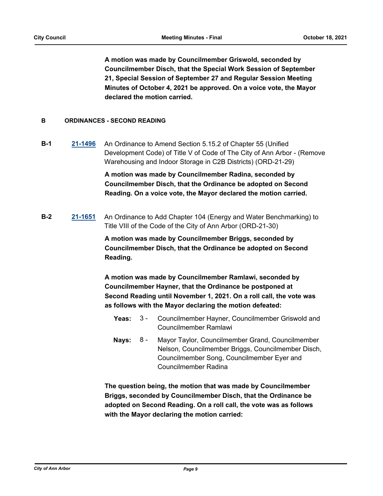**A motion was made by Councilmember Griswold, seconded by Councilmember Disch, that the Special Work Session of September 21, Special Session of September 27 and Regular Session Meeting Minutes of October 4, 2021 be approved. On a voice vote, the Mayor declared the motion carried.**

### **B ORDINANCES - SECOND READING**

**B-1 [21-1496](http://a2gov.legistar.com/gateway.aspx?M=L&ID=28422)** An Ordinance to Amend Section 5.15.2 of Chapter 55 (Unified Development Code) of Title V of Code of The City of Ann Arbor - (Remove Warehousing and Indoor Storage in C2B Districts) (ORD-21-29)

> **A motion was made by Councilmember Radina, seconded by Councilmember Disch, that the Ordinance be adopted on Second Reading. On a voice vote, the Mayor declared the motion carried.**

**B-2 [21-1651](http://a2gov.legistar.com/gateway.aspx?M=L&ID=28577)** An Ordinance to Add Chapter 104 (Energy and Water Benchmarking) to Title VIII of the Code of the City of Ann Arbor (ORD-21-30)

> **A motion was made by Councilmember Briggs, seconded by Councilmember Disch, that the Ordinance be adopted on Second Reading.**

**A motion was made by Councilmember Ramlawi, seconded by Councilmember Hayner, that the Ordinance be postponed at Second Reading until November 1, 2021. On a roll call, the vote was as follows with the Mayor declaring the motion defeated:**

- Yeas: 3 Councilmember Hayner, Councilmember Griswold and Councilmember Ramlawi 3 -
- Nays: 8 Mayor Taylor, Councilmember Grand, Councilmember Nelson, Councilmember Briggs, Councilmember Disch, Councilmember Song, Councilmember Eyer and Councilmember Radina 8 -

**The question being, the motion that was made by Councilmember Briggs, seconded by Councilmember Disch, that the Ordinance be adopted on Second Reading. On a roll call, the vote was as follows with the Mayor declaring the motion carried:**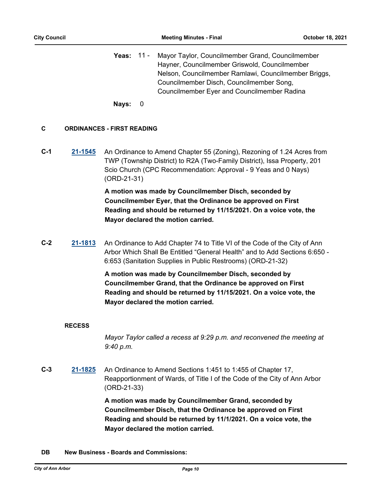**Yeas:** Mayor Taylor, Councilmember Grand, Councilmember Hayner, Councilmember Griswold, Councilmember Nelson, Councilmember Ramlawi, Councilmember Briggs, Councilmember Disch, Councilmember Song, Councilmember Eyer and Councilmember Radina Yeas: 11 -

**Nays:** 0

#### **C ORDINANCES - FIRST READING**

**C-1 [21-1545](http://a2gov.legistar.com/gateway.aspx?M=L&ID=28471)** An Ordinance to Amend Chapter 55 (Zoning), Rezoning of 1.24 Acres from TWP (Township District) to R2A (Two-Family District), Issa Property, 201 Scio Church (CPC Recommendation: Approval - 9 Yeas and 0 Nays) (ORD-21-31)

> **A motion was made by Councilmember Disch, seconded by Councilmember Eyer, that the Ordinance be approved on First Reading and should be returned by 11/15/2021. On a voice vote, the Mayor declared the motion carried.**

**C-2 [21-1813](http://a2gov.legistar.com/gateway.aspx?M=L&ID=28739)** An Ordinance to Add Chapter 74 to Title VI of the Code of the City of Ann Arbor Which Shall Be Entitled "General Health" and to Add Sections 6:650 - 6:653 (Sanitation Supplies in Public Restrooms) (ORD-21-32)

> **A motion was made by Councilmember Disch, seconded by Councilmember Grand, that the Ordinance be approved on First Reading and should be returned by 11/15/2021. On a voice vote, the Mayor declared the motion carried.**

#### **RECESS**

*Mayor Taylor called a recess at 9:29 p.m. and reconvened the meeting at 9:40 p.m.*

**C-3 [21-1825](http://a2gov.legistar.com/gateway.aspx?M=L&ID=28751)** An Ordinance to Amend Sections 1:451 to 1:455 of Chapter 17, Reapportionment of Wards, of Title I of the Code of the City of Ann Arbor (ORD-21-33)

> **A motion was made by Councilmember Grand, seconded by Councilmember Disch, that the Ordinance be approved on First Reading and should be returned by 11/1/2021. On a voice vote, the Mayor declared the motion carried.**

**DB New Business - Boards and Commissions:**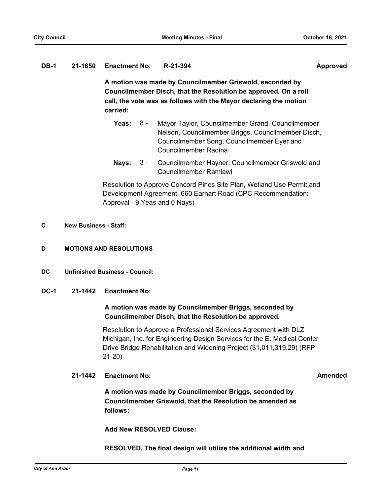#### **DB-1 21-1650 Enactment No: R-21-394 Approved**

**A motion was made by Councilmember Griswold, seconded by Councilmember Disch, that the Resolution be approved. On a roll call, the vote was as follows with the Mayor declaring the motion carried:**

- Yeas: 8 Mayor Taylor, Councilmember Grand, Councilmember Nelson, Councilmember Briggs, Councilmember Disch, Councilmember Song, Councilmember Eyer and Councilmember Radina 8 -
- **Nays:** 3 Councilmember Hayner, Councilmember Griswold and Councilmember Ramlawi  $3 -$

Resolution to Approve Concord Pines Site Plan, Wetland Use Permit and Development Agreement, 660 Earhart Road (CPC Recommendation: Approval - 9 Yeas and 0 Nays)

#### **C New Business - Staff:**

- **D MOTIONS AND RESOLUTIONS**
- **DC Unfinished Business Council:**
- **DC-1 21-1442 Enactment No:**

### **A motion was made by Councilmember Briggs, seconded by Councilmember Disch, that the Resolution be approved.**

Resolution to Approve a Professional Services Agreement with DLZ Michigan, Inc. for Engineering Design Services for the E. Medical Center Drive Bridge Rehabilitation and Widening Project (\$1,011,319.29) (RFP 21-20)

### **21-1442 Enactment No: Amended**

**A motion was made by Councilmember Briggs, seconded by Councilmember Griswold, that the Resolution be amended as follows:**

**Add New RESOLVED Clause:**

**RESOLVED, The final design will utilize the additional width and**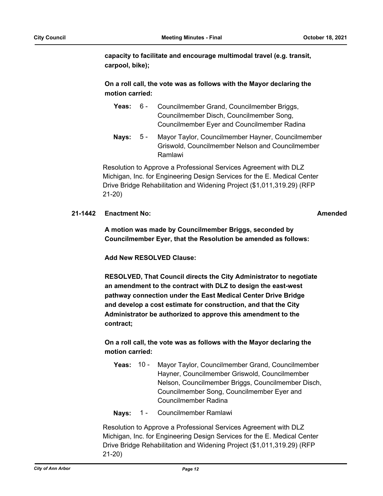**capacity to facilitate and encourage multimodal travel (e.g. transit, carpool, bike);**

## **On a roll call, the vote was as follows with the Mayor declaring the motion carried:**

| Yeas: | 6 - | Councilmember Grand, Councilmember Briggs,         |
|-------|-----|----------------------------------------------------|
|       |     | Councilmember Disch, Councilmember Song,           |
|       |     | <b>Councilmember Eyer and Councilmember Radina</b> |

Nays: 5 - Mayor Taylor, Councilmember Hayner, Councilmember Griswold, Councilmember Nelson and Councilmember Ramlawi  $5 -$ 

Resolution to Approve a Professional Services Agreement with DLZ Michigan, Inc. for Engineering Design Services for the E. Medical Center Drive Bridge Rehabilitation and Widening Project (\$1,011,319.29) (RFP 21-20)

### **21-1442 Enactment No: Amended**

**A motion was made by Councilmember Briggs, seconded by Councilmember Eyer, that the Resolution be amended as follows:**

**Add New RESOLVED Clause:**

**RESOLVED, That Council directs the City Administrator to negotiate an amendment to the contract with DLZ to design the east-west pathway connection under the East Medical Center Drive Bridge and develop a cost estimate for construction, and that the City Administrator be authorized to approve this amendment to the contract;** 

# **On a roll call, the vote was as follows with the Mayor declaring the motion carried:**

- **Yeas:** Mayor Taylor, Councilmember Grand, Councilmember Hayner, Councilmember Griswold, Councilmember Nelson, Councilmember Briggs, Councilmember Disch, Councilmember Song, Councilmember Eyer and Councilmember Radina Yeas:  $10 -$
- **Nays:** 1 Councilmember Ramlawi

Resolution to Approve a Professional Services Agreement with DLZ Michigan, Inc. for Engineering Design Services for the E. Medical Center Drive Bridge Rehabilitation and Widening Project (\$1,011,319.29) (RFP 21-20)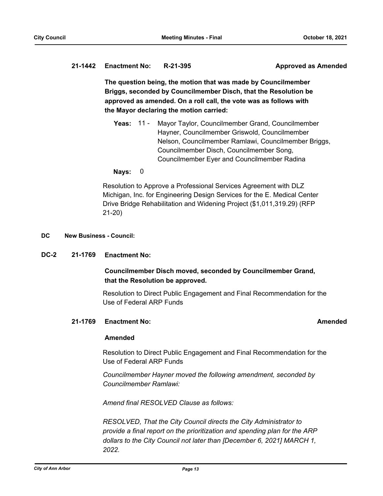# **21-1442 Enactment No: R-21-395 Approved as Amended**

**The question being, the motion that was made by Councilmember Briggs, seconded by Councilmember Disch, that the Resolution be approved as amended. On a roll call, the vote was as follows with the Mayor declaring the motion carried:**

**Yeas:** Mayor Taylor, Councilmember Grand, Councilmember Hayner, Councilmember Griswold, Councilmember Nelson, Councilmember Ramlawi, Councilmember Briggs, Councilmember Disch, Councilmember Song, Councilmember Eyer and Councilmember Radina Yeas: 11 -

### **Nays:** 0

Resolution to Approve a Professional Services Agreement with DLZ Michigan, Inc. for Engineering Design Services for the E. Medical Center Drive Bridge Rehabilitation and Widening Project (\$1,011,319.29) (RFP 21-20)

#### **DC New Business - Council:**

### **DC-2 21-1769 Enactment No:**

## **Councilmember Disch moved, seconded by Councilmember Grand, that the Resolution be approved.**

Resolution to Direct Public Engagement and Final Recommendation for the Use of Federal ARP Funds

#### **21-1769 Enactment No: Amended**

#### **Amended**

Resolution to Direct Public Engagement and Final Recommendation for the Use of Federal ARP Funds

*Councilmember Hayner moved the following amendment, seconded by Councilmember Ramlawi:*

*Amend final RESOLVED Clause as follows:*

*RESOLVED, That the City Council directs the City Administrator to provide a final report on the prioritization and spending plan for the ARP dollars to the City Council not later than [December 6, 2021] MARCH 1, 2022.*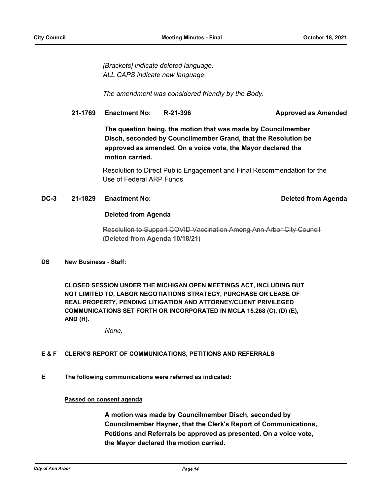*[Brackets] indicate deleted language. ALL CAPS indicate new language.*

*The amendment was considered friendly by the Body.*

### **21-1769 Enactment No: R-21-396 Approved as Amended**

**The question being, the motion that was made by Councilmember Disch, seconded by Councilmember Grand, that the Resolution be approved as amended. On a voice vote, the Mayor declared the motion carried.**

Resolution to Direct Public Engagement and Final Recommendation for the Use of Federal ARP Funds

### **DC-3 21-1829 Enactment No: Deleted from Agenda**

#### **Deleted from Agenda**

Resolution to Support COVID Vaccination Among Ann Arbor City Council **(Deleted from Agenda 10/18/21)**

#### **DS New Business - Staff:**

**CLOSED SESSION UNDER THE MICHIGAN OPEN MEETINGS ACT, INCLUDING BUT NOT LIMITED TO, LABOR NEGOTIATIONS STRATEGY, PURCHASE OR LEASE OF REAL PROPERTY, PENDING LITIGATION AND ATTORNEY/CLIENT PRIVILEGED COMMUNICATIONS SET FORTH OR INCORPORATED IN MCLA 15.268 (C), (D) (E), AND (H).**

*None.*

#### **E & F CLERK'S REPORT OF COMMUNICATIONS, PETITIONS AND REFERRALS**

**E The following communications were referred as indicated:**

#### **Passed on consent agenda**

**A motion was made by Councilmember Disch, seconded by Councilmember Hayner, that the Clerk's Report of Communications, Petitions and Referrals be approved as presented. On a voice vote, the Mayor declared the motion carried.**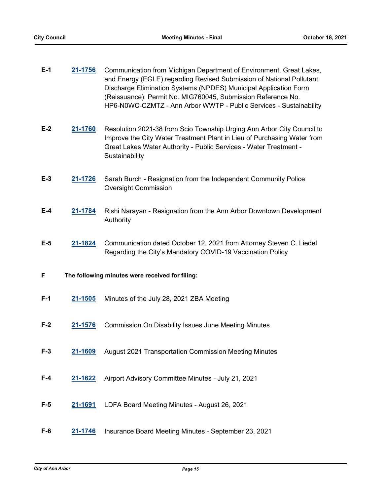| $E-1$ | 21-1756                                         | Communication from Michigan Department of Environment, Great Lakes,<br>and Energy (EGLE) regarding Revised Submission of National Pollutant<br>Discharge Elimination Systems (NPDES) Municipal Application Form<br>(Reissuance): Permit No. MIG760045, Submission Reference No.<br>HP6-N0WC-CZMTZ - Ann Arbor WWTP - Public Services - Sustainability |  |
|-------|-------------------------------------------------|-------------------------------------------------------------------------------------------------------------------------------------------------------------------------------------------------------------------------------------------------------------------------------------------------------------------------------------------------------|--|
| $E-2$ | 21-1760                                         | Resolution 2021-38 from Scio Township Urging Ann Arbor City Council to<br>Improve the City Water Treatment Plant in Lieu of Purchasing Water from<br>Great Lakes Water Authority - Public Services - Water Treatment -<br>Sustainability                                                                                                              |  |
| $E-3$ | 21-1726                                         | Sarah Burch - Resignation from the Independent Community Police<br><b>Oversight Commission</b>                                                                                                                                                                                                                                                        |  |
| $E-4$ | 21-1784                                         | Rishi Narayan - Resignation from the Ann Arbor Downtown Development<br>Authority                                                                                                                                                                                                                                                                      |  |
| $E-5$ | 21-1824                                         | Communication dated October 12, 2021 from Attorney Steven C. Liedel<br>Regarding the City's Mandatory COVID-19 Vaccination Policy                                                                                                                                                                                                                     |  |
| F     | The following minutes were received for filing: |                                                                                                                                                                                                                                                                                                                                                       |  |
| $F-1$ | 21-1505                                         | Minutes of the July 28, 2021 ZBA Meeting                                                                                                                                                                                                                                                                                                              |  |
| $F-2$ | 21-1576                                         | <b>Commission On Disability Issues June Meeting Minutes</b>                                                                                                                                                                                                                                                                                           |  |
| $F-3$ | 21-1609                                         | August 2021 Transportation Commission Meeting Minutes                                                                                                                                                                                                                                                                                                 |  |
| $F-4$ | 21-1622                                         | Airport Advisory Committee Minutes - July 21, 2021                                                                                                                                                                                                                                                                                                    |  |
| $F-5$ | 21-1691                                         | LDFA Board Meeting Minutes - August 26, 2021                                                                                                                                                                                                                                                                                                          |  |
| $F-6$ | 21-1746                                         | Insurance Board Meeting Minutes - September 23, 2021                                                                                                                                                                                                                                                                                                  |  |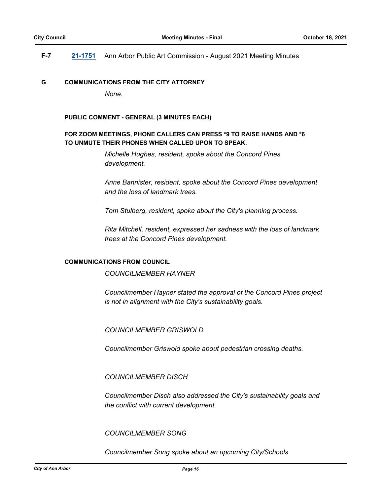### **F-7 [21-1751](http://a2gov.legistar.com/gateway.aspx?M=L&ID=28677)** Ann Arbor Public Art Commission - August 2021 Meeting Minutes

#### **G COMMUNICATIONS FROM THE CITY ATTORNEY**

*None.*

#### **PUBLIC COMMENT - GENERAL (3 MINUTES EACH)**

### **FOR ZOOM MEETINGS, PHONE CALLERS CAN PRESS \*9 TO RAISE HANDS AND \*6 TO UNMUTE THEIR PHONES WHEN CALLED UPON TO SPEAK.**

*Michelle Hughes, resident, spoke about the Concord Pines development.*

*Anne Bannister, resident, spoke about the Concord Pines development and the loss of landmark trees.*

*Tom Stulberg, resident, spoke about the City's planning process.*

*Rita Mitchell, resident, expressed her sadness with the loss of landmark trees at the Concord Pines development.*

#### **COMMUNICATIONS FROM COUNCIL**

*COUNCILMEMBER HAYNER*

*Councilmember Hayner stated the approval of the Concord Pines project is not in alignment with the City's sustainability goals.*

*COUNCILMEMBER GRISWOLD*

*Councilmember Griswold spoke about pedestrian crossing deaths.*

*COUNCILMEMBER DISCH*

*Councilmember Disch also addressed the City's sustainability goals and the conflict with current development.*

#### *COUNCILMEMBER SONG*

*Councilmember Song spoke about an upcoming City/Schools*